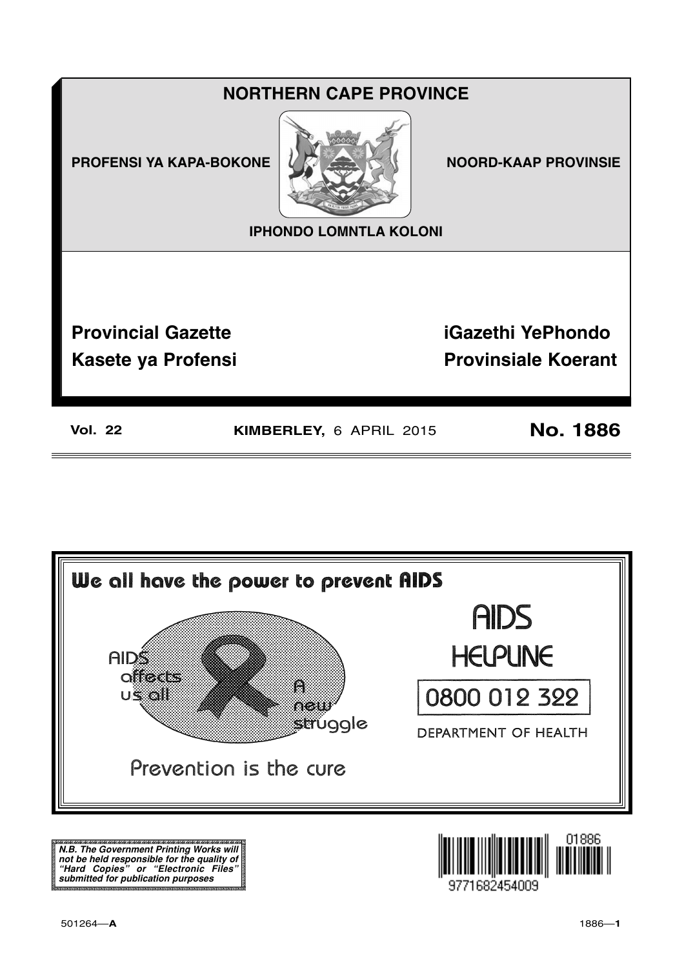## **NORTHERN CAPE PROVINCE**

**PROFENSI YA KAPA-BOKONE** 



**NOORD-KAAP PROVINSIE** 

**IPHONDO LOMNTLA KOLONI** 

**Provincial Gazette Kasete ya Profensi**  **iGazethi YePhondo Provinsiale Koerant** 

**Vol. 22** 

KIMBERLEY, 6 APRIL 2015

**No. 1886** 



N.B. The Government Printing Works will iv.b. The Government Printing works will<br>not be held responsible for the quality of<br>"Hard" Copies" or "Electronic Files"<br>submitted for publication purposes

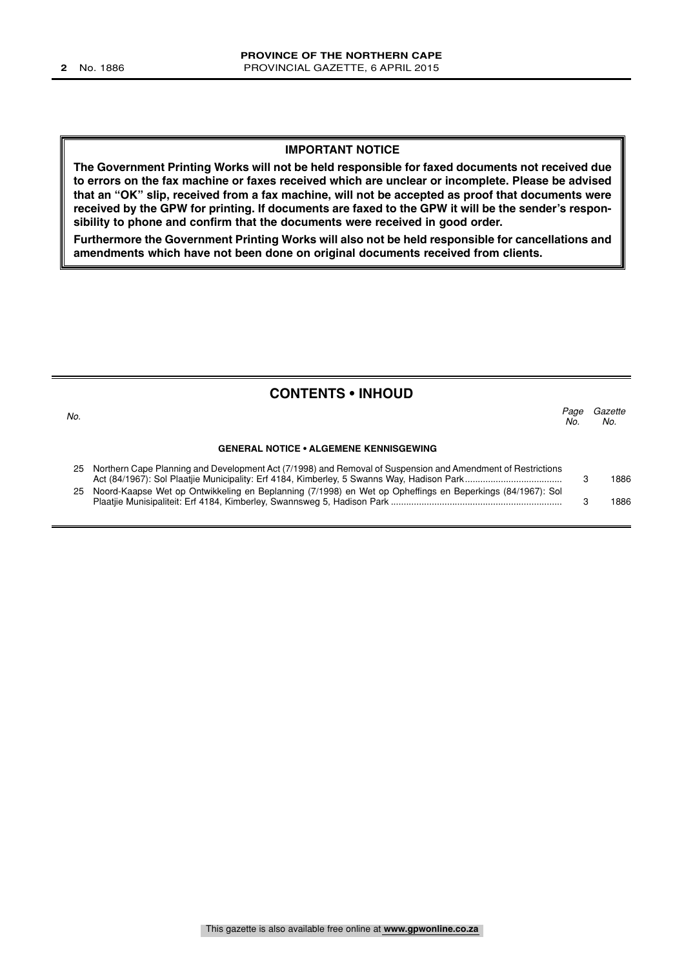#### **IMPORTANT NOTICE**

**The Government Printing Works will not be held responsible for faxed documents not received due to errors on the fax machine or faxes received which are unclear or incomplete. Please be advised that an "OK" slip, received from a fax machine, will not be accepted as proof that documents were received by the GPW for printing. If documents are faxed to the GPW it will be the sender's responsibility to phone and confirm that the documents were received in good order.**

**Furthermore the Government Printing Works will also not be held responsible for cancellations and amendments which have not been done on original documents received from clients.**

| <b>CONTENTS • INHOUD</b> |                                                                                                                |             |                |  |
|--------------------------|----------------------------------------------------------------------------------------------------------------|-------------|----------------|--|
| No.                      |                                                                                                                | Page<br>No. | Gazette<br>No. |  |
|                          | <b>GENERAL NOTICE • ALGEMENE KENNISGEWING</b>                                                                  |             |                |  |
|                          | 25 Northern Cape Planning and Development Act (7/1998) and Removal of Suspension and Amendment of Restrictions |             | 1886           |  |
|                          | 25 Noord-Kaapse Wet op Ontwikkeling en Beplanning (7/1998) en Wet op Opheffings en Beperkings (84/1967): Sol   |             | 1886           |  |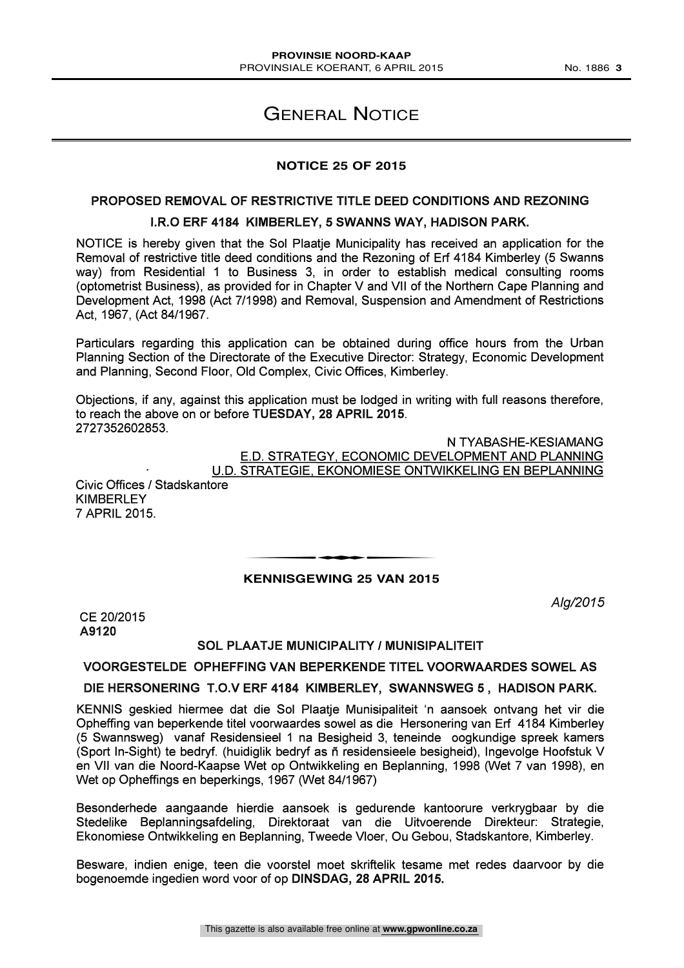## GENERAL NOTICE

#### **NOTICE 25 OF 2015**

#### PROPOSED REMOVAL OF RESTRICTIVE TITLE DEED CONDITIONS AND REZONING I.R.0 ERF 4184 KIMBERLEY, 5 SWANNS WAY, HADISON PARK.

NOTICE is hereby given that the Sol Plaatje Municipality has received an application for the Removal of restrictive title deed conditions and the Rezoning of Erf 4184 Kimberley (5 Swanns way) from Residential <sup>1</sup> to Business 3, in order to establish medical consulting rooms (optometrist Business), as provided for in Chapter V and VII of the Northern Cape Planning and Development Act, 1998 (Act 7/1998) and Removal, Suspension and Amendment of Restrictions Act, 1967, (Act 84/1967.

Particulars regarding this application can be obtained during office hours from the Urban Planning Section of the Directorate of the Executive Director: Strategy, Economic Development and Planning, Second Floor, Old Complex, Civic Offices, Kimberley.

Objections, if any, against this application must be lodged in writing with full reasons therefore, to reach the above on or before TUESDAY, 28 APRIL 2015. 2727352602853.

> N TYABASHE-KESIAMANG E.D. STRATEGY, ECONOMIC DEVELOPMENT AND PLANNING U.D. STRATEGIE, EKONOMIESE ONTWIKKELING EN BEPLANNING

Civic Offices / Stadskantore KIMBERLEY 7 APRIL 2015.

## **KENNISGEWING 25 VAN 2015** ENNISCEMENT OF VAN ONE

Alg/2015

CE 20/2015 A9120

#### SOL PLAATJE MUNICIPALITY / MUNISIPALITEIT

#### VOORGESTELDE OPHEFFING VAN BEPERKENDE TITEL VOORWAARDES SOWEL AS

#### DIE HERSONERING T.O.V ERF 4184 KIMBERLEY, SWANNSWEG 5 , HADISON PARK.

KENNIS geskied hiermee dat die Sol Plaatje Munisipaliteit 'n aansoek ontvang het vir die Opheffing van beperkende titel voorwaardes sowel as die Hersonering van Erf 4184 Kimberley (5 Swannsweg) vanaf Residensieel 1 na Besigheid 3, teneinde oogkundige spreek kamers (Sport In-Sight) te bedryf. (huidiglik bedryf as ñ residensieele besigheid), Ingevolge Hoofstuk V en VII van die Noord-Kaapse Wet op Ontwikkeling en Beplanning, 1998 (Wet 7 van 1998), en Wet op Opheffings en beperkings, 1967 (Wet 84/1967)

Besonderhede aangaande hierdie aansoek is gedurende kantoorure verkrygbaar by die Stedelike Beplanningsafdeling, Direktoraat van die Uitvoerende Direkteur: Strategie, Ekonomiese Ontwikkeling en Beplanning, Tweede Vloer, Ou Gebou, Stadskantore, Kimberley.

Besware, indien enige, teen die voorstel moet skriftelik tesame met redes daarvoor by die bogenoemde ingedien word voor of op DINSDAG, 28 APRIL 2015.